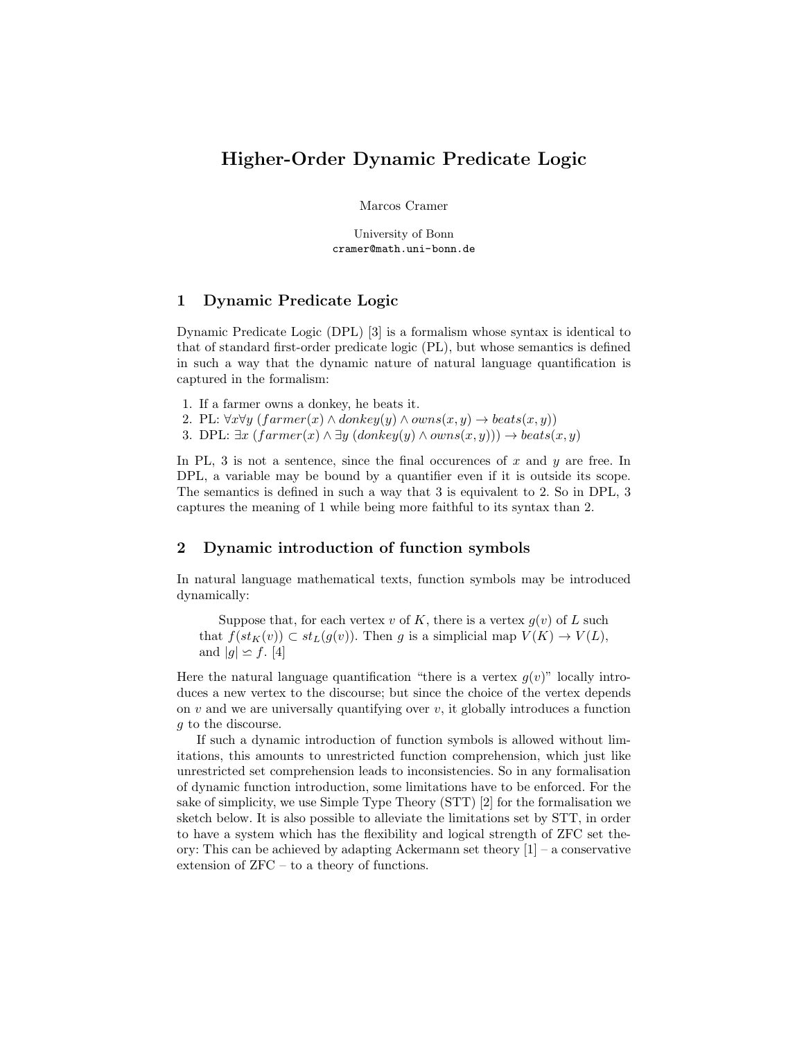# Higher-Order Dynamic Predicate Logic

Marcos Cramer

University of Bonn cramer@math.uni-bonn.de

### 1 Dynamic Predicate Logic

Dynamic Predicate Logic (DPL) [3] is a formalism whose syntax is identical to that of standard first-order predicate logic (PL), but whose semantics is defined in such a way that the dynamic nature of natural language quantification is captured in the formalism:

- 1. If a farmer owns a donkey, he beats it.
- 2. PL:  $\forall x \forall y$  (farmer(x)  $\land$  donkey(y)  $\land$  owns(x, y)  $\rightarrow$  beats(x, y))
- 3. DPL:  $\exists x \ (farmer(x) \land \exists y \ (donkey(y) \land owns(x, y))) \rightarrow beats(x, y)$

In PL, 3 is not a sentence, since the final occurences of  $x$  and  $y$  are free. In DPL, a variable may be bound by a quantifier even if it is outside its scope. The semantics is defined in such a way that 3 is equivalent to 2. So in DPL, 3 captures the meaning of 1 while being more faithful to its syntax than 2.

## 2 Dynamic introduction of function symbols

In natural language mathematical texts, function symbols may be introduced dynamically:

Suppose that, for each vertex v of K, there is a vertex  $g(v)$  of L such that  $f(st_{K}(v)) \subset st_{L}(q(v))$ . Then q is a simplicial map  $V(K) \to V(L)$ , and  $|g| \simeq f$ . [4]

Here the natural language quantification "there is a vertex  $g(v)$ " locally introduces a new vertex to the discourse; but since the choice of the vertex depends on  $v$  and we are universally quantifying over  $v$ , it globally introduces a function g to the discourse.

If such a dynamic introduction of function symbols is allowed without limitations, this amounts to unrestricted function comprehension, which just like unrestricted set comprehension leads to inconsistencies. So in any formalisation of dynamic function introduction, some limitations have to be enforced. For the sake of simplicity, we use Simple Type Theory (STT) [2] for the formalisation we sketch below. It is also possible to alleviate the limitations set by STT, in order to have a system which has the flexibility and logical strength of ZFC set theory: This can be achieved by adapting Ackermann set theory [1] – a conservative extension of ZFC – to a theory of functions.